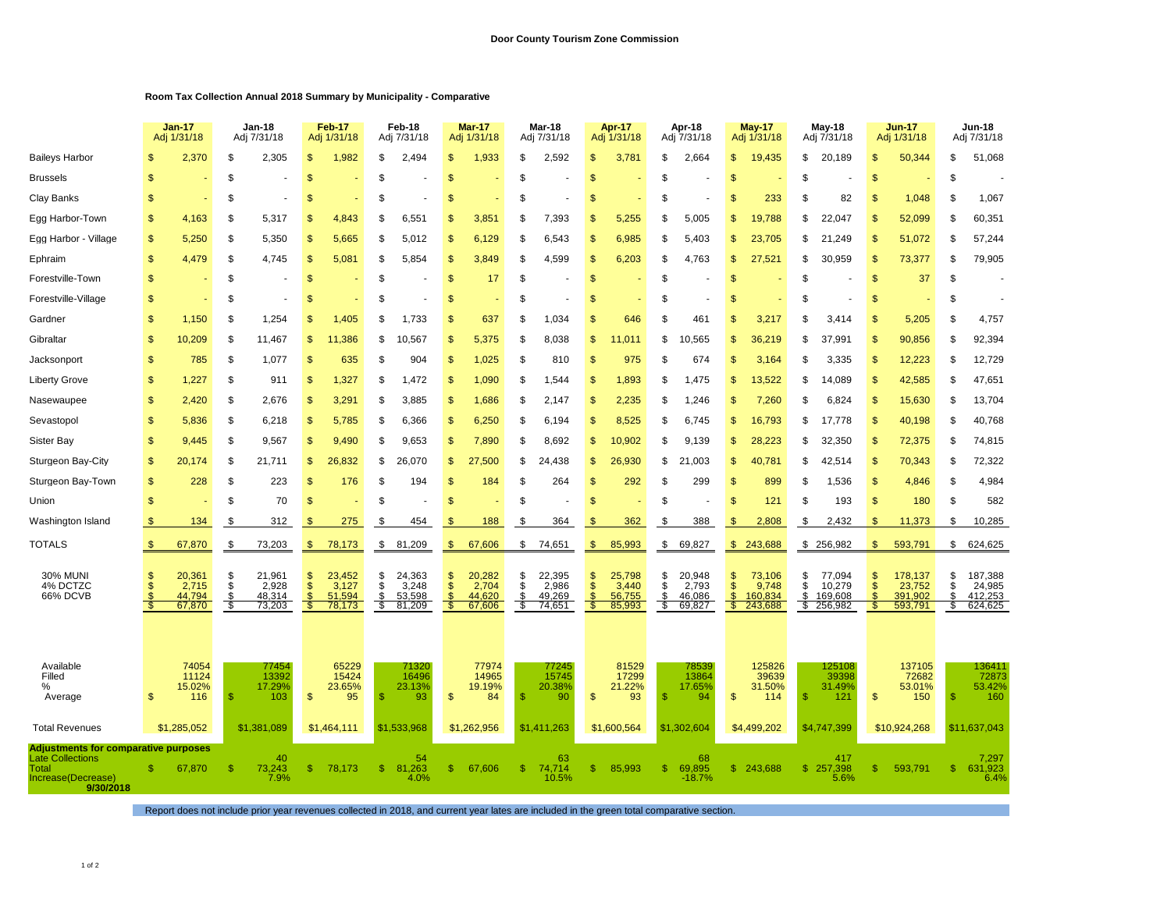## **Room Tax Collection Annual 2018 Summary by Municipality - Comparative**

|                                                                 | <b>Jan-17</b><br>Adj 1/31/18 |                  | Jan-18<br>Adj 7/31/18 |                  | <b>Feb-17</b><br>Adj 1/31/18 |                  | Feb-18<br>Adj 7/31/18 |                  | <b>Mar-17</b><br>Adj 1/31/18 |                  | Mar-18<br>Adj 7/31/18 |                  | Apr-17<br>Adj 1/31/18 |                  | Apr-18<br>Adj 7/31/18 |                    | <b>May-17</b><br>Adj 1/31/18 |                    | <b>May-18</b><br>Adj 7/31/18 |                      | <b>Jun-17</b><br>Adj 1/31/18 |                    | <b>Jun-18</b><br>Adj 7/31/18 |                    |  |
|-----------------------------------------------------------------|------------------------------|------------------|-----------------------|------------------|------------------------------|------------------|-----------------------|------------------|------------------------------|------------------|-----------------------|------------------|-----------------------|------------------|-----------------------|--------------------|------------------------------|--------------------|------------------------------|----------------------|------------------------------|--------------------|------------------------------|--------------------|--|
| <b>Baileys Harbor</b>                                           |                              | 2,370            | \$                    | 2,305            | \$                           | 1,982            | \$                    | 2,494            | \$                           | 1,933            | \$                    | 2,592            | \$                    | 3,781            | \$                    | 2,664              | \$                           | 19,435             | \$                           | 20,189               | \$                           | 50,344             | \$                           | 51,068             |  |
| <b>Brussels</b>                                                 | S                            |                  | \$                    |                  | \$                           |                  |                       |                  | \$                           |                  | S                     |                  | \$                    |                  | S                     |                    | S                            |                    | \$                           |                      | \$                           |                    | \$                           |                    |  |
| Clay Banks                                                      | \$                           |                  | \$                    |                  | \$                           |                  | S                     |                  | \$                           |                  | \$                    |                  | \$                    |                  | S                     |                    | S                            | 233                | \$                           | 82                   | \$                           | 1,048              | \$                           | 1,067              |  |
| Egg Harbor-Town                                                 | \$                           | 4,163            | \$                    | 5,317            | <b>S</b>                     | 4,843            | S                     | 6,551            | \$                           | 3,851            | S                     | 7,393            | \$                    | 5,255            | \$                    | 5,005              | S                            | 19,788             | S                            | 22,047               | \$                           | 52,099             | \$                           | 60,351             |  |
| Egg Harbor - Village                                            | \$                           | 5,250            | \$                    | 5,350            | \$                           | 5,665            | S                     | 5,012            | \$                           | 6,129            | \$                    | 6,543            | \$                    | 6,985            | \$                    | 5,403              | \$                           | 23,705             | \$                           | 21,249               | \$                           | 51,072             | \$                           | 57,244             |  |
| Ephraim                                                         | $\mathbb{S}$                 | 4,479            | \$                    | 4,745            | <b>S</b>                     | 5,081            | £.                    | 5,854            | \$                           | 3,849            | \$.                   | 4,599            | \$                    | 6,203            | \$                    | 4,763              | \$                           | 27,521             | S                            | 30,959               | S                            | 73,377             | \$                           | 79,905             |  |
| Forestville-Town                                                | \$                           |                  | \$                    |                  | $\mathbf{s}$                 |                  | \$                    |                  | $\mathbf{s}$                 | 17               | \$                    |                  | \$                    |                  | \$                    |                    | \$                           |                    | \$                           |                      | \$                           | 37                 | \$                           |                    |  |
| Forestville-Village                                             | \$                           |                  | \$                    |                  | \$                           |                  | S                     |                  | \$                           |                  | \$.                   |                  | \$                    |                  | S                     |                    | S                            |                    | \$                           |                      | \$                           |                    | \$                           |                    |  |
| Gardner                                                         | \$                           | 1,150            | \$                    | 1,254            | \$                           | 1,405            | \$                    | 1,733            | \$                           | 637              | \$                    | 1,034            | \$                    | 646              | \$                    | 461                | \$                           | 3,217              | \$                           | 3,414                | \$                           | 5,205              | \$                           | 4,757              |  |
| Gibraltar                                                       | \$                           | 10,209           | \$                    | 11,467           | \$                           | 11,386           | \$                    | 10,567           | \$                           | 5,375            | \$                    | 8,038            | \$                    | .011             | \$                    | ,565<br>10         | 9                            | 36,219             | \$                           | 37,991               | \$                           | 90,856             | \$                           | 92,394             |  |
| Jacksonport                                                     | \$                           | 785              | \$                    | 1,077            | $\mathbf{s}$                 | 635              | \$                    | 904              | \$                           | 1,025            | \$                    | 810              | \$                    | 975              | \$                    | 674                | \$                           | 3,164              | \$                           | 3,335                | $\mathbf{s}$                 | 12,223             | \$                           | 12,729             |  |
| <b>Liberty Grove</b>                                            | \$                           | 1,227            | \$                    | 911              | \$                           | 1,327            | S                     | 1,472            | \$                           | 1,090            | \$                    | 1,544            | \$                    | 1,893            | \$                    | 1,475              | S                            | 13,522             | \$                           | 14,089               | \$                           | 42,585             | \$                           | 47,651             |  |
| Nasewaupee                                                      | \$                           | 2,420            | \$                    | 2,676            | \$                           | 3,291            | \$                    | 3,885            | \$                           | 1,686            | \$                    | 2,147            | \$                    | 2,235            | \$                    | ,246               | S                            | 7,260              | \$                           | 6,824                | \$                           | 15,630             | \$                           | 13,704             |  |
| Sevastopol                                                      | \$                           | 5,836            | \$                    | 6,218            | $\mathbf{s}$                 | 5,785            | \$                    | 6,366            | $\mathbf{s}$                 | 6,250            | \$                    | 6,194            | \$                    | 8,525            | \$                    | 6.745              | \$                           | 16,793             | \$                           | 17,778               | \$                           | 40,198             | \$                           | 40,768             |  |
| <b>Sister Bay</b>                                               | \$                           | 9,445            | \$                    | 9,567            | \$                           | 9,490            | \$.                   | 9,653            | $\mathbb{S}$                 | 7,890            | \$                    | 8,692            | $\mathbb{S}$          | 10,902           | \$                    | 9,139              | S                            | 28,223             | S                            | 32,350               | $\mathbb{S}$                 | 72,375             | \$                           | 74,815             |  |
| Sturgeon Bay-City                                               | \$                           | 20,174           | \$                    | 21,711           | \$                           | 26,832           | \$                    | 26,070           | \$                           | 27,500           | \$                    | 24,438           | \$                    | 26,930           | \$                    | 21,003             | \$                           | 40,781             | \$                           | 42,514               | \$                           | 70,343             | \$                           | 72,322             |  |
| Sturgeon Bay-Town                                               | \$                           | 228              | \$                    | 223              | $\mathbb{S}$                 | 176              | S                     | 194              | \$                           | 184              | S                     | 264              | \$                    | 292              | S                     | 299                | S                            | 899                | S                            | 1,536                | $\mathbb{S}$                 | 4,846              | \$                           | 4,984              |  |
| Union                                                           | \$                           |                  | \$                    | 70               | $\mathbf{s}$                 |                  | \$                    |                  | \$                           |                  | \$                    |                  | \$                    |                  | \$                    |                    | \$                           | 121                | \$                           | 193                  | $\mathsf{\$}$                | 180                | \$                           | 582                |  |
| Washington Island                                               |                              | 134              | \$                    | 312              | -S                           | 275              | - \$                  | 454              | -S                           | 188              | S                     | 364              | S                     | 362              | S                     | 388                | \$                           | 2,808              | \$                           | 2,432                | \$.                          | 11,373             | S                            | 10,285             |  |
| TOTALS                                                          | -S                           | 67,870           | \$                    | 73,203           | \$                           | 78,173           | \$                    | 81,209           | \$                           | 67,606           | \$                    | 74,651           | \$                    | 85,993           | \$                    | 69,827             | \$                           | 243,688            |                              | \$256,982            | \$                           | 593,791            | \$                           | 624,625            |  |
| 30% MUNI<br>4% DCTZC                                            | S<br>£.                      | 20,361<br>2,715  | \$<br>S               | 21,961<br>2,928  | \$<br>\$.                    | 23,452<br>3,127  | S<br>\$               | 24,363<br>3,248  | \$<br><sup>\$</sup>          | 20,282<br>2,704  | \$<br>\$              | 22,395<br>2,986  | \$<br>\$              | 25,798<br>3,440  | \$<br>\$              | 20,948<br>2,793    | \$<br>\$                     | 73,106<br>9,748    | \$<br>S                      | 77,094<br>10,279     | \$<br>\$                     | 178,137<br>23,752  | \$<br>\$                     | 187,388<br>24,985  |  |
| 66% DCVB                                                        | ŤŠ                           | 44.794<br>67,870 | \$<br>S,              | 48,314<br>73,203 | <b>S</b><br>-55              | 51,594<br>78,173 | $$\mathbb{S}$$<br>\$  | 53,598<br>81,209 | <sub>\$</sub><br>\$          | 44.620<br>67,606 | \$<br>S               | 49,269<br>74,651 | $\mathfrak{s}$<br>S.  | 56,755<br>85,993 | $\$$<br>S,            | 46.086<br>69,827   | $\mathfrak{S}$<br>S.         | 160.834<br>243,688 | \$                           | 169,608<br>\$256,982 | \$                           | 391,902<br>593,791 | \$<br>\$                     | 412,253<br>624,625 |  |
|                                                                 |                              |                  |                       |                  |                              |                  |                       |                  |                              |                  |                       |                  |                       |                  |                       |                    |                              |                    |                              |                      |                              |                    |                              |                    |  |
| Available<br>Filled                                             |                              | 74054<br>11124   |                       | 77454<br>13392   |                              | 65229<br>15424   |                       | 71320<br>16496   |                              | 77974<br>14965   |                       | 77245<br>15745   |                       | 81529<br>17299   |                       | 78539<br>13864     |                              | 125826<br>39639    |                              | 125108<br>39398      |                              | 137105<br>72682    |                              | 136411<br>72873    |  |
| %<br>Average                                                    | \$                           | 15.02%<br>116    | -S                    | 17.29%<br>103    | $\mathsf{\$}$                | 23.65%<br>95     | -S                    | 23.13%<br>93     | $\mathsf{\$}$                | 19.19%<br>84     | \$                    | 20.38%<br>90     | \$                    | 21.22%<br>93     | \$                    | 17.65%<br>94       | \$                           | 31.50%<br>114      | $\mathbf{\$}$                | 31.49%<br>121        | \$                           | 53.01%<br>150      | \$                           | 53.42%<br>160      |  |
|                                                                 |                              |                  |                       |                  |                              |                  |                       |                  |                              |                  |                       |                  |                       |                  |                       |                    |                              |                    |                              |                      |                              |                    |                              |                    |  |
| <b>Total Revenues</b>                                           |                              | \$1,285,052      |                       | \$1,381,089      |                              | \$1,464,111      |                       | \$1,533,968      |                              | \$1,262,956      |                       | \$1,411,263      |                       | \$1,600,564      |                       | \$1,302,604        |                              | \$4,499,202        |                              | \$4,747,399          |                              | \$10,924,268       |                              | \$11.637.043       |  |
| Adjustments for comparative purposes<br><b>Late Collections</b> |                              |                  |                       | 40               |                              |                  |                       | 54               |                              |                  |                       | 63               |                       |                  |                       | 68                 |                              |                    |                              | 417                  |                              |                    |                              | 7,297              |  |
| Total<br>Increase(Decrease)<br>9/30/2018                        | \$                           | 67,870           |                       | 73,243<br>7.9%   | \$.                          | 78,173           | \$.                   | 81,263<br>4.0%   | \$.                          | 67,606           | \$.                   | 74,714<br>10.5%  | \$                    | 85,993           | \$                    | 69,895<br>$-18.7%$ |                              | \$243,688          |                              | \$257,398<br>5.6%    | \$                           | 593,791            | \$                           | 631,923<br>6.4%    |  |

Report does not include prior year revenues collected in 2018, and current year lates are included in the green total comparative section.